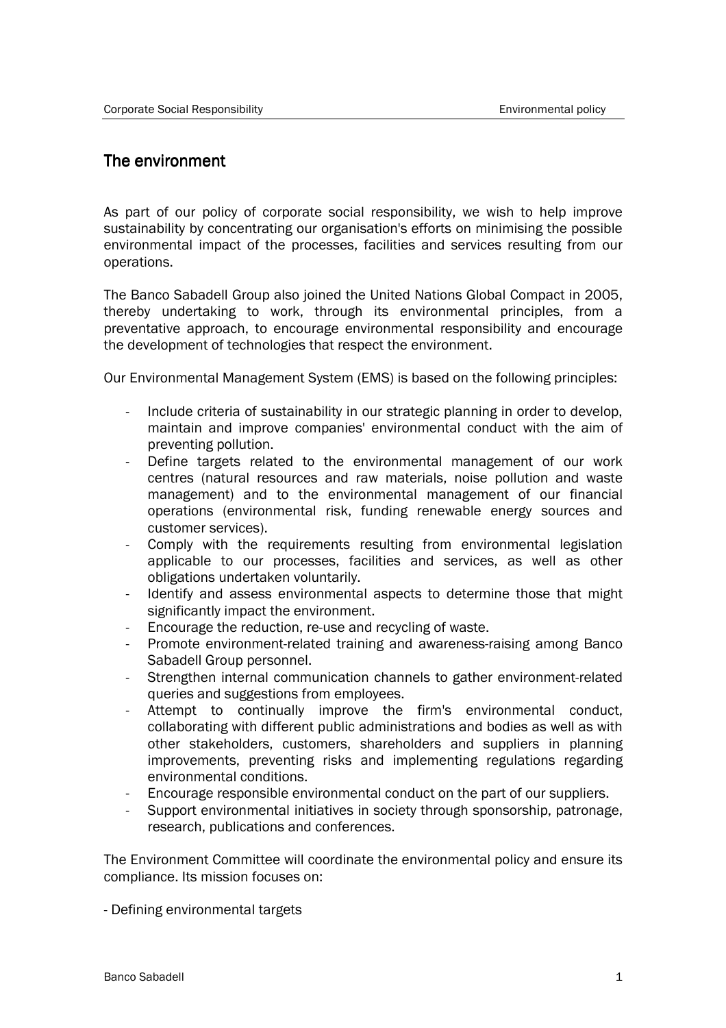## The environment

As part of our policy of corporate social responsibility, we wish to help improve sustainability by concentrating our organisation's efforts on minimising the possible environmental impact of the processes, facilities and services resulting from our operations.

The Banco Sabadell Group also joined the United Nations Global Compact in 2005, thereby undertaking to work, through its environmental principles, from a preventative approach, to encourage environmental responsibility and encourage the development of technologies that respect the environment.

Our Environmental Management System (EMS) is based on the following principles:

- Include criteria of sustainability in our strategic planning in order to develop, maintain and improve companies' environmental conduct with the aim of preventing pollution.
- Define targets related to the environmental management of our work centres (natural resources and raw materials, noise pollution and waste management) and to the environmental management of our financial operations (environmental risk, funding renewable energy sources and customer services).
- Comply with the requirements resulting from environmental legislation applicable to our processes, facilities and services, as well as other obligations undertaken voluntarily.
- Identify and assess environmental aspects to determine those that might significantly impact the environment.
- Encourage the reduction, re-use and recycling of waste.
- Promote environment-related training and awareness-raising among Banco Sabadell Group personnel.
- Strengthen internal communication channels to gather environment-related queries and suggestions from employees.
- Attempt to continually improve the firm's environmental conduct, collaborating with different public administrations and bodies as well as with other stakeholders, customers, shareholders and suppliers in planning improvements, preventing risks and implementing regulations regarding environmental conditions.
- Encourage responsible environmental conduct on the part of our suppliers.
- Support environmental initiatives in society through sponsorship, patronage, research, publications and conferences.

The Environment Committee will coordinate the environmental policy and ensure its compliance. Its mission focuses on:

- Defining environmental targets